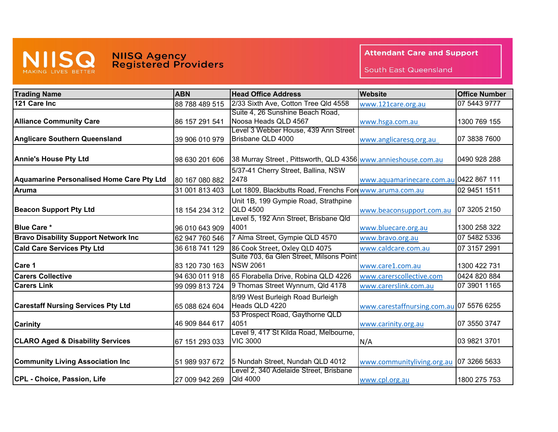

## **NIISQ Agency<br>Registered Providers**

## **Attendant Care and Support**

South East Queensland

| <b>Trading Name</b>                              | <b>ABN</b>     | <b>Head Office Address</b>                                    | Website                                  | <b>Office Number</b> |
|--------------------------------------------------|----------------|---------------------------------------------------------------|------------------------------------------|----------------------|
| 121 Care Inc                                     | 88 788 489 515 | 2/33 Sixth Ave, Cotton Tree Qld 4558                          | www.121care.org.au                       | 07 5443 9777         |
|                                                  |                | Suite 4, 26 Sunshine Beach Road,                              |                                          |                      |
| <b>Alliance Community Care</b>                   | 86 157 291 541 | Noosa Heads QLD 4567                                          | www.hsga.com.au                          | 1300 769 155         |
|                                                  |                | Level 3 Webber House, 439 Ann Street                          |                                          |                      |
| <b>Anglicare Southern Queensland</b>             | 39 906 010 979 | Brisbane QLD 4000                                             | www.anglicaresq.org.au                   | 07 3838 7600         |
|                                                  |                |                                                               |                                          |                      |
| <b>Annie's House Pty Ltd</b>                     | 98 630 201 606 | 38 Murray Street, Pittsworth, QLD 4356 www.annieshouse.com.au |                                          | 0490 928 288         |
|                                                  |                | 5/37-41 Cherry Street, Ballina, NSW                           |                                          |                      |
| <b>Aquamarine Personalised Home Care Pty Ltd</b> | 80 167 080 882 | 2478                                                          | www.aquamarinecare.com.au 0422 867 111   |                      |
| <b>Aruma</b>                                     | 31 001 813 403 | Lot 1809, Blackbutts Road, Frenchs Forewww.aruma.com.au       |                                          | 02 9451 1511         |
|                                                  |                | Unit 1B, 199 Gympie Road, Strathpine                          |                                          |                      |
| <b>Beacon Support Pty Ltd</b>                    | 18 154 234 312 | <b>QLD 4500</b>                                               | www.beaconsupport.com.au                 | 07 3205 2150         |
|                                                  |                | Level 5, 192 Ann Street, Brisbane Qld                         |                                          |                      |
| <b>Blue Care *</b>                               | 96 010 643 909 | 4001                                                          | www.bluecare.org.au                      | 1300 258 322         |
| <b>Bravo Disability Support Network Inc</b>      | 62 947 760 546 | 7 Alma Street, Gympie QLD 4570                                | www.bravo.org.au                         | 07 5482 5336         |
| <b>Cald Care Services Pty Ltd</b>                | 36 618 741 129 | 86 Cook Street, Oxley QLD 4075                                | www.caldcare.com.au                      | 07 3157 2991         |
|                                                  |                | Suite 703, 6a Glen Street, Milsons Point                      |                                          |                      |
| Care 1                                           | 83 120 730 163 | <b>NSW 2061</b>                                               | www.care1.com.au                         | 1300 422 731         |
| <b>Carers Collective</b>                         | 94 630 011 918 | 65 Florabella Drive, Robina QLD 4226                          | www.carerscollective.com                 | 0424 820 884         |
| <b>Carers Link</b>                               | 99 099 813 724 | 9 Thomas Street Wynnum, Qld 4178                              | www.carerslink.com.au                    | 07 3901 1165         |
|                                                  |                | 8/99 West Burleigh Road Burleigh                              |                                          |                      |
| <b>Carestaff Nursing Services Pty Ltd</b>        | 65 088 624 604 | Heads QLD 4220                                                | www.carestaffnursing.com.au 07 5576 6255 |                      |
|                                                  |                | 53 Prospect Road, Gaythorne QLD                               |                                          |                      |
| <b>Carinity</b>                                  | 46 909 844 617 | 4051                                                          | www.carinity.org.au                      | 07 3550 3747         |
|                                                  |                | Level 9, 417 St Kilda Road, Melbourne,                        |                                          |                      |
| <b>CLARO Aged &amp; Disability Services</b>      | 67 151 293 033 | <b>VIC 3000</b>                                               | N/A                                      | 03 9821 3701         |
|                                                  |                |                                                               |                                          |                      |
| <b>Community Living Association Inc.</b>         | 51 989 937 672 | 5 Nundah Street, Nundah QLD 4012                              | www.communityliving.org.au               | 07 3266 5633         |
| CPL - Choice, Passion, Life                      | 27 009 942 269 | Level 2, 340 Adelaide Street, Brisbane<br>Qld 4000            |                                          | 1800 275 753         |
|                                                  |                |                                                               | www.cpl.org.au                           |                      |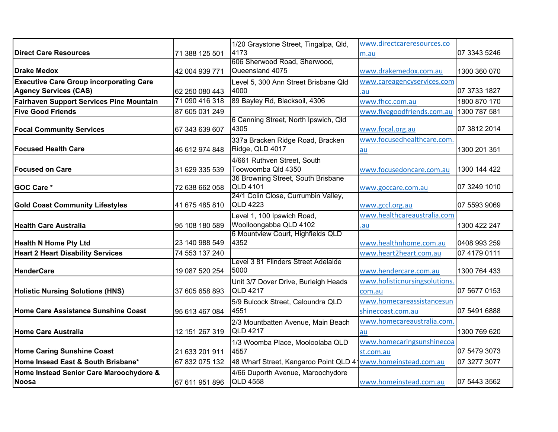|                                                |                | 1/20 Graystone Street, Tingalpa, Qld,  | www.directcareresources.co    |              |
|------------------------------------------------|----------------|----------------------------------------|-------------------------------|--------------|
| <b>Direct Care Resources</b>                   | 71 388 125 501 | 4173                                   | m.au                          | 07 3343 5246 |
|                                                |                | 606 Sherwood Road, Sherwood,           |                               |              |
| <b>Drake Medox</b>                             | 42 004 939 771 | Queensland 4075                        | www.drakemedox.com.au         | 1300 360 070 |
| <b>Executive Care Group incorporating Care</b> |                | Level 5, 300 Ann Street Brisbane Qld   | www.careagencyservices.com    |              |
| <b>Agency Services (CAS)</b>                   | 62 250 080 443 | 4000                                   | .au                           | 07 3733 1827 |
| Fairhaven Support Services Pine Mountain       | 71 090 416 318 | 89 Bayley Rd, Blacksoil, 4306          | www.fhcc.com.au               | 1800 870 170 |
| <b>Five Good Friends</b>                       | 87 605 031 249 |                                        | www.fivegoodfriends.com.au    | 1300 787 581 |
|                                                |                | 6 Canning Street, North Ipswich, Qld   |                               |              |
| <b>Focal Community Services</b>                | 67 343 639 607 | 4305                                   | www.focal.org.au              | 07 3812 2014 |
|                                                |                | 337a Bracken Ridge Road, Bracken       | www.focusedhealthcare.com     |              |
| <b>Focused Health Care</b>                     | 46 612 974 848 | Ridge, QLD 4017                        | au                            | 1300 201 351 |
|                                                |                | 4/661 Ruthven Street, South            |                               |              |
| <b>Focused on Care</b>                         | 31 629 335 539 | Toowoomba Qld 4350                     | www.focusedoncare.com.au      | 1300 144 422 |
|                                                |                | 36 Browning Street, South Brisbane     |                               |              |
| <b>GOC Care *</b>                              | 72 638 662 058 | <b>QLD 4101</b>                        | www.goccare.com.au            | 07 3249 1010 |
|                                                |                | 24/1 Colin Close, Currumbin Valley,    |                               |              |
| <b>Gold Coast Community Lifestyles</b>         | 41 675 485 810 | <b>QLD 4223</b>                        | www.gccl.org.au               | 07 5593 9069 |
|                                                |                | Level 1, 100 Ipswich Road,             | www.healthcareaustralia.com   |              |
| <b>Health Care Australia</b>                   | 95 108 180 589 | Woolloongabba QLD 4102                 | .au                           | 1300 422 247 |
|                                                |                | 6 Mountview Court, Highfields QLD      |                               |              |
| <b>Health N Home Pty Ltd</b>                   | 23 140 988 549 | 4352                                   | www.healthnhome.com.au        | 0408 993 259 |
| <b>Heart 2 Heart Disability Services</b>       | 74 553 137 240 |                                        | www.heart2heart.com.au        | 07 4179 0111 |
|                                                |                | Level 3 81 Flinders Street Adelaide    |                               |              |
| HenderCare                                     | 19 087 520 254 | 5000                                   | www.hendercare.com.au         | 1300 764 433 |
|                                                |                | Unit 3/7 Dover Drive, Burleigh Heads   | www.holisticnursingsolutions. |              |
| <b>Holistic Nursing Solutions (HNS)</b>        | 37 605 658 893 | <b>QLD 4217</b>                        | com.au                        | 07 5677 0153 |
|                                                |                | 5/9 Bulcock Street, Caloundra QLD      | www.homecareassistancesun     |              |
| Home Care Assistance Sunshine Coast            | 95 613 467 084 | 4551                                   | shinecoast.com.au             | 07 5491 6888 |
|                                                |                | 2/3 Mountbatten Avenue, Main Beach     | www.homecareaustralia.com     |              |
| Home Care Australia                            | 12 151 267 319 | <b>QLD 4217</b>                        | au                            | 1300 769 620 |
|                                                |                | 1/3 Woomba Place, Mooloolaba QLD       | www.homecaringsunshinecoa     |              |
| <b>Home Caring Sunshine Coast</b>              | 21 633 201 911 | 4557                                   | st.com.au                     | 07 5479 3073 |
| Home Insead East & South Brisbane*             | 67 832 075 132 | 48 Wharf Street, Kangaroo Point QLD 41 | www.homeinstead.com.au        | 07 3277 3077 |
| Home Instead Senior Care Maroochydore &        |                | 4/66 Duporth Avenue, Maroochydore      |                               |              |
| Noosa                                          | 67 611 951 896 | <b>QLD 4558</b>                        | www.homeinstead.com.au        | 07 5443 3562 |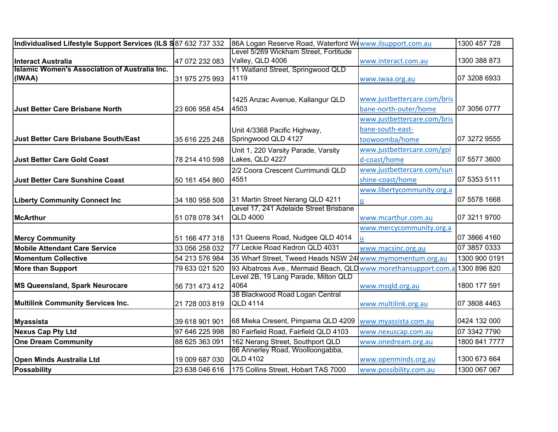| Individualised Lifestyle Support Services (ILS S87 632 737 332 |                | 86A Logan Reserve Road, Waterford Wowww.ilsupport.com.au        |                             | 1300 457 728  |
|----------------------------------------------------------------|----------------|-----------------------------------------------------------------|-----------------------------|---------------|
|                                                                |                | Level 5/269 Wickham Street, Fortitude                           |                             |               |
| <b>Interact Australia</b>                                      | 47 072 232 083 | Valley, QLD 4006                                                | www.interact.com.au         | 1300 388 873  |
| Islamic Women's Association of Australia Inc.                  |                | 11 Watland Street, Springwood QLD                               |                             |               |
| (IWAA)                                                         | 31 975 275 993 | 4119                                                            | www.iwaa.org.au             | 07 3208 6933  |
|                                                                |                |                                                                 |                             |               |
|                                                                |                | 1425 Anzac Avenue, Kallangur QLD                                | www.justbettercare.com/bris |               |
| Just Better Care Brisbane North                                | 23 606 958 454 | 4503                                                            | bane-north-outer/home       | 07 3056 0777  |
|                                                                |                |                                                                 | www.justbettercare.com/bris |               |
|                                                                |                | Unit 4/3368 Pacific Highway,                                    | bane-south-east-            |               |
| <b>Just Better Care Brisbane South/East</b>                    | 35 616 225 248 | Springwood QLD 4127                                             | toowoomba/home              | 07 3272 9555  |
|                                                                |                | Unit 1, 220 Varsity Parade, Varsity                             | www.justbettercare.com/gol  |               |
| <b>Just Better Care Gold Coast</b>                             | 78 214 410 598 | Lakes, QLD 4227                                                 | d-coast/home                | 07 5577 3600  |
|                                                                |                | 2/2 Coora Crescent Currimundi QLD                               | www.justbettercare.com/sun  |               |
| <b>Just Better Care Sunshine Coast</b>                         | 50 161 454 860 | 4551                                                            | shine-coast/home            | 07 5353 5111  |
|                                                                |                |                                                                 | www.libertycommunity.org.a  |               |
| <b>Liberty Community Connect Inc</b>                           | 34 180 958 508 | 31 Martin Street Nerang QLD 4211                                | <u>u</u>                    | 07 5578 1668  |
|                                                                |                | Level 17, 241 Adelaide Street Brisbane                          |                             |               |
| <b>McArthur</b>                                                | 51 078 078 341 | <b>QLD 4000</b>                                                 | www.mcarthur.com.au         | 07 3211 9700  |
|                                                                |                |                                                                 | www.mercycommunity.org.a    |               |
| <b>Mercy Community</b>                                         | 51 166 477 318 | 131 Queens Road, Nudgee QLD 4014                                | u.                          | 07 3866 4160  |
| <b>Mobile Attendant Care Service</b>                           | 33 056 258 032 | 77 Leckie Road Kedron QLD 4031                                  | www.macsinc.org.au          | 07 3857 0333  |
| <b>Momentum Collective</b>                                     | 54 213 576 984 | 35 Wharf Street, Tweed Heads NSW 24 www.mymomentum.org.au       |                             | 1300 900 0191 |
| <b>More than Support</b>                                       | 79 633 021 520 | 93 Albatross Ave., Mermaid Beach, QLD www.morethansupport.com.a |                             | 1300 896 820  |
|                                                                |                | Level 2B, 19 Lang Parade, Milton QLD                            |                             |               |
| MS Queensland, Spark Neurocare                                 | 56 731 473 412 | 4064                                                            | www.msqld.org.au            | 1800 177 591  |
|                                                                |                | 38 Blackwood Road Logan Central                                 |                             |               |
| Multilink Community Services Inc.                              | 21 728 003 819 | <b>QLD 4114</b>                                                 | www.multilink.org.au        | 07 3808 4463  |
| <b>Myassista</b>                                               | 39 618 901 901 | 68 Mieka Cresent, Pimpama QLD 4209                              | www.myassista.com.au        | 0424 132 000  |
| <b>Nexus Cap Pty Ltd</b>                                       | 97 646 225 998 | 80 Fairfield Road, Fairfield QLD 4103                           | www.nexuscap.com.au         | 07 3342 7790  |
| <b>One Dream Community</b>                                     | 88 625 363 091 | 162 Nerang Street, Southport QLD                                | www.onedream.org.au         | 1800 841 7777 |
|                                                                |                | 66 Annerley Road, Woolloongabba,                                |                             |               |
| <b>Open Minds Australia Ltd</b>                                | 19 009 687 030 | <b>QLD 4102</b>                                                 | www.openminds.org.au        | 1300 673 664  |
| <b>Possability</b>                                             | 23 638 046 616 | 175 Collins Street, Hobart TAS 7000                             | www.possibility.com.au      | 1300 067 067  |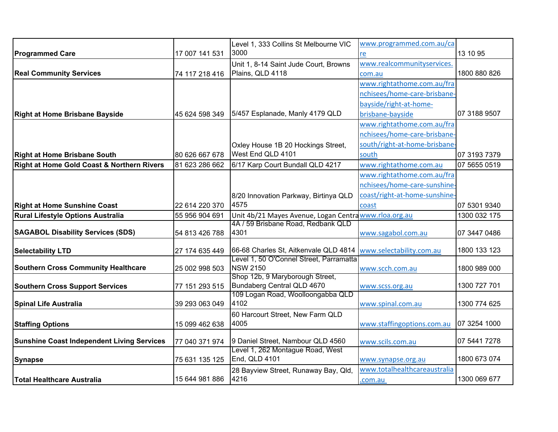|                                                       |                | Level 1, 333 Collins St Melbourne VIC                      | www.programmed.com.au/ca      |              |
|-------------------------------------------------------|----------------|------------------------------------------------------------|-------------------------------|--------------|
| <b>Programmed Care</b>                                | 17 007 141 531 | 3000                                                       | re                            | 13 10 95     |
|                                                       |                | Unit 1, 8-14 Saint Jude Court, Browns                      | www.realcommunityservices.    |              |
| <b>Real Community Services</b>                        | 74 117 218 416 | Plains, QLD 4118                                           | com.au                        | 1800 880 826 |
|                                                       |                |                                                            | www.rightathome.com.au/fra    |              |
|                                                       |                |                                                            | nchisees/home-care-brisbane   |              |
|                                                       |                |                                                            | bayside/right-at-home-        |              |
| <b>Right at Home Brisbane Bayside</b>                 | 45 624 598 349 | 5/457 Esplanade, Manly 4179 QLD                            | brisbane-bayside              | 07 3188 9507 |
|                                                       |                |                                                            | www.rightathome.com.au/fra    |              |
|                                                       |                |                                                            | nchisees/home-care-brisbane-  |              |
|                                                       |                | Oxley House 1B 20 Hockings Street,                         | south/right-at-home-brisbane  |              |
| <b>Right at Home Brisbane South</b>                   | 80 626 667 678 | West End QLD 4101                                          | south                         | 07 3193 7379 |
| <b>Right at Home Gold Coast &amp; Northern Rivers</b> | 81 623 286 662 | 6/17 Karp Court Bundall QLD 4217                           | www.rightathome.com.au        | 07 5655 0519 |
|                                                       |                |                                                            | www.rightathome.com.au/fra    |              |
|                                                       |                |                                                            | nchisees/home-care-sunshine-  |              |
|                                                       |                | 8/20 Innovation Parkway, Birtinya QLD                      | coast/right-at-home-sunshine- |              |
| <b>Right at Home Sunshine Coast</b>                   | 22 614 220 370 | 4575                                                       | coast                         | 07 5301 9340 |
| <b>Rural Lifestyle Options Australia</b>              | 55 956 904 691 | Unit 4b/21 Mayes Avenue, Logan Centra www.rloa.org.au      |                               | 1300 032 175 |
|                                                       |                | 4A / 59 Brisbane Road, Redbank QLD                         |                               |              |
| <b>SAGABOL Disability Services (SDS)</b>              | 54 813 426 788 | 4301                                                       | www.sagabol.com.au            | 07 3447 0486 |
| <b>Selectability LTD</b>                              | 27 174 635 449 | 66-68 Charles St, Aitkenvale QLD 4814                      | www.selectability.com.au      | 1800 133 123 |
|                                                       |                | Level 1, 50 O'Connel Street, Parramatta<br><b>NSW 2150</b> |                               |              |
| <b>Southern Cross Community Healthcare</b>            | 25 002 998 503 | Shop 12b, 9 Maryborough Street,                            | www.scch.com.au               | 1800 989 000 |
| <b>Southern Cross Support Services</b>                | 77 151 293 515 | Bundaberg Central QLD 4670                                 | www.scss.org.au               | 1300 727 701 |
|                                                       |                | 109 Logan Road, Woolloongabba QLD                          |                               |              |
| <b>Spinal Life Australia</b>                          | 39 293 063 049 | 4102                                                       | www.spinal.com.au             | 1300 774 625 |
|                                                       |                | 60 Harcourt Street, New Farm QLD                           |                               |              |
| <b>Staffing Options</b>                               | 15 099 462 638 | 4005                                                       | www.staffingoptions.com.au    | 07 3254 1000 |
| <b>Sunshine Coast Independent Living Services</b>     | 77 040 371 974 | 9 Daniel Street, Nambour QLD 4560                          | www.scils.com.au              | 07 5441 7278 |
|                                                       |                | Level 1, 262 Montague Road, West                           |                               |              |
| <b>Synapse</b>                                        | 75 631 135 125 | End, QLD 4101                                              | www.synapse.org.au            | 1800 673 074 |
|                                                       |                | 28 Bayview Street, Runaway Bay, Qld,                       | www.totalhealthcareaustralia  |              |
| <b>Total Healthcare Australia</b>                     | 15 644 981 886 | 4216                                                       | .com.au                       | 1300 069 677 |